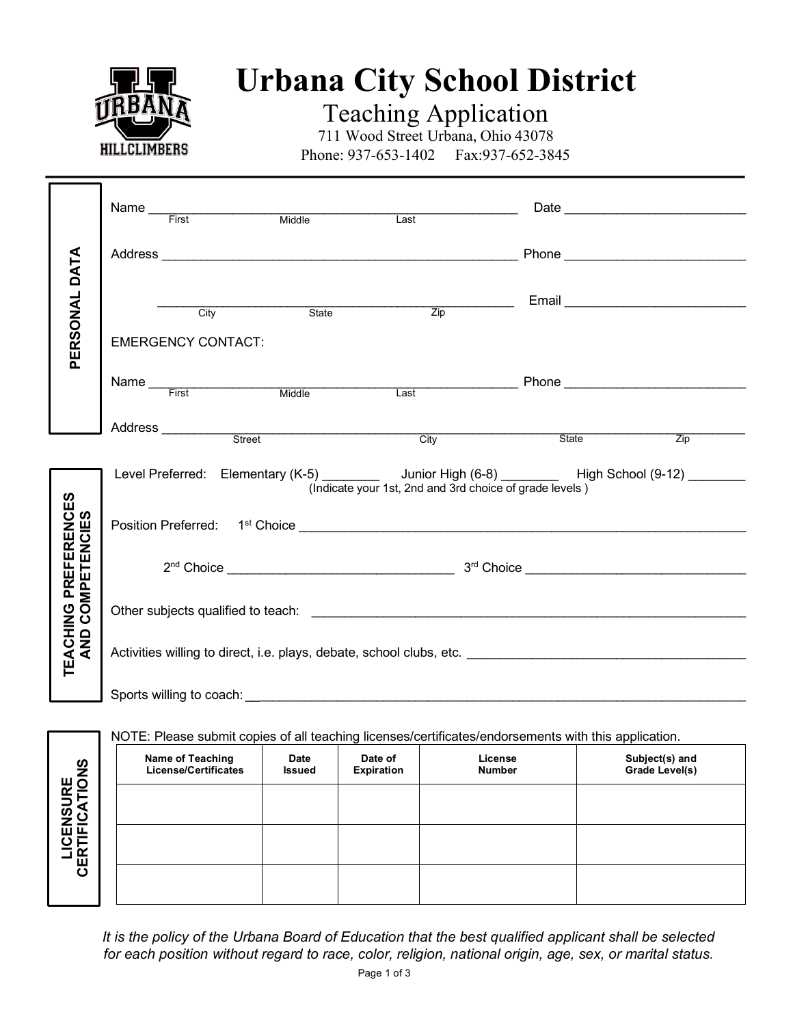

## **Urbana City School District**

Teaching Application

711 Wood Street Urbana, Ohio 43078 Phone: 937-653-1402 Fax: 937-652-3845

|                                                  |  | Name First Middle         |                               | Last |                                                                                                      |                                                                                                                                                  |  |
|--------------------------------------------------|--|---------------------------|-------------------------------|------|------------------------------------------------------------------------------------------------------|--------------------------------------------------------------------------------------------------------------------------------------------------|--|
|                                                  |  |                           |                               |      |                                                                                                      |                                                                                                                                                  |  |
| PERSONAL DATA                                    |  | City                      | State                         |      |                                                                                                      | $\frac{1}{\text{Zip}}$ Email                                                                                                                     |  |
|                                                  |  | <b>EMERGENCY CONTACT:</b> |                               |      |                                                                                                      |                                                                                                                                                  |  |
|                                                  |  |                           |                               |      |                                                                                                      | Name First Middle Last Phone Phone                                                                                                               |  |
|                                                  |  |                           |                               |      |                                                                                                      |                                                                                                                                                  |  |
|                                                  |  |                           | Address <u>Street Address</u> |      | City                                                                                                 | State<br>$\overline{Zip}$                                                                                                                        |  |
| <b>TEACHING PREFERENCES<br/>AND COMPETENCIES</b> |  |                           |                               |      | (Indicate your 1st, 2nd and 3rd choice of grade levels)                                              | Level Preferred: Elementary (K-5) _________ Junior High (6-8) ________ High School (9-12) ________                                               |  |
|                                                  |  |                           |                               |      |                                                                                                      |                                                                                                                                                  |  |
|                                                  |  |                           |                               |      |                                                                                                      |                                                                                                                                                  |  |
|                                                  |  |                           |                               |      |                                                                                                      | Activities willing to direct, i.e. plays, debate, school clubs, etc. <b>Activities</b> willing to direct, i.e. plays, debate, school clubs, etc. |  |
|                                                  |  |                           |                               |      |                                                                                                      |                                                                                                                                                  |  |
|                                                  |  |                           |                               |      | NOTE: Please submit copies of all teaching licenses/certificates/endorsements with this application. |                                                                                                                                                  |  |
|                                                  |  |                           |                               |      | Name of Teaching   Date   Date of   License   Subject(s) and                                         |                                                                                                                                                  |  |

|                                    | Name of Teaching<br><b>License/Certificates</b> | <b>Date</b><br><b>Issued</b> | Date of<br>Expiration | License<br><b>Number</b> | Subject(s) and<br>Grade Level(s) |
|------------------------------------|-------------------------------------------------|------------------------------|-----------------------|--------------------------|----------------------------------|
|                                    |                                                 |                              |                       |                          |                                  |
| <b>LICENSURE<br/>ERTIFICATIONS</b> |                                                 |                              |                       |                          |                                  |
| ပ                                  |                                                 |                              |                       |                          |                                  |

*It is the policy of the Urbana Board of Education that the best qualified applicant shall be selected for each position without regard to race, color, religion, national origin, age, sex, or marital status.*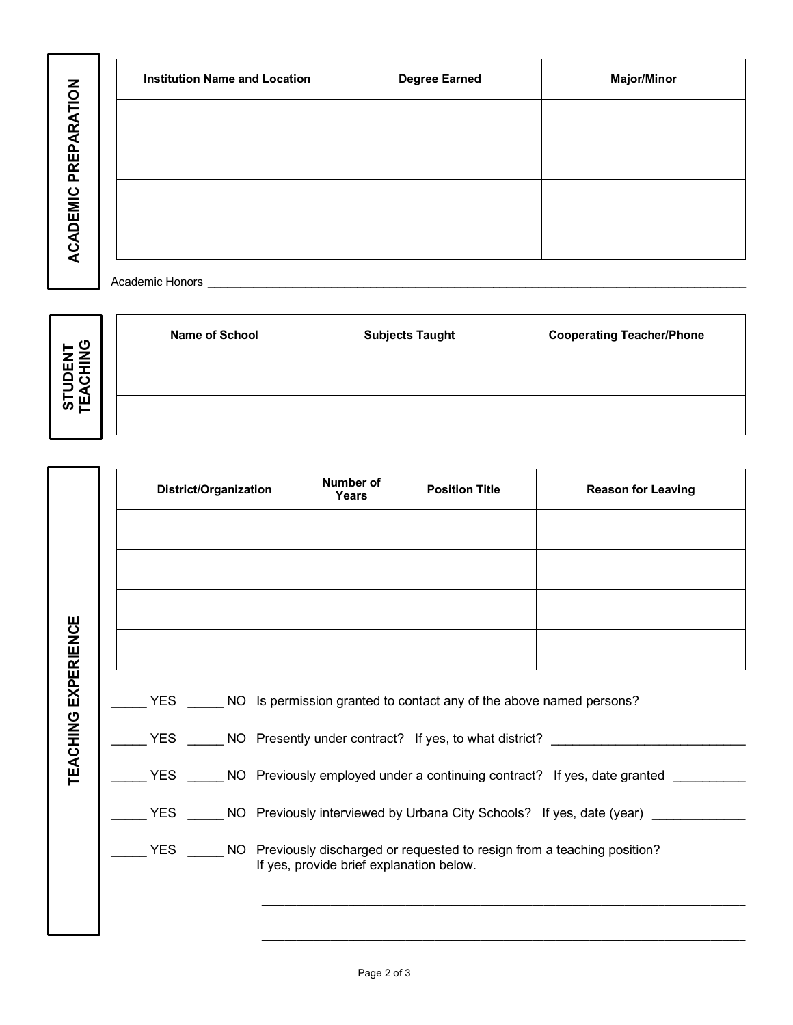**ACADEMIC PREPARATION ACADEMIC PREPARATION**

|                 | <b>Institution Name and Location</b> | <b>Degree Earned</b> | <b>Major/Minor</b> |
|-----------------|--------------------------------------|----------------------|--------------------|
|                 |                                      |                      |                    |
| PREPARATION     |                                      |                      |                    |
|                 |                                      |                      |                    |
| <b>ACADEMIC</b> |                                      |                      |                    |
|                 | Academic Honors                      |                      |                    |

**STUDENT DNIHONG** 

| ENT<br>HING           | <b>Name of School</b> | <b>Subjects Taught</b> | <b>Cooperating Teacher/Phone</b> |
|-----------------------|-----------------------|------------------------|----------------------------------|
| <b>STUD<br/>TEACH</b> |                       |                        |                                  |
|                       |                       |                        |                                  |

|                     | <b>District/Organization</b>                                                                | <b>Number of</b><br><b>Years</b>                                                                                                  | <b>Position Title</b> | <b>Reason for Leaving</b>                                                                          |  |  |  |
|---------------------|---------------------------------------------------------------------------------------------|-----------------------------------------------------------------------------------------------------------------------------------|-----------------------|----------------------------------------------------------------------------------------------------|--|--|--|
|                     |                                                                                             |                                                                                                                                   |                       |                                                                                                    |  |  |  |
|                     |                                                                                             |                                                                                                                                   |                       |                                                                                                    |  |  |  |
|                     |                                                                                             |                                                                                                                                   |                       |                                                                                                    |  |  |  |
|                     |                                                                                             |                                                                                                                                   |                       |                                                                                                    |  |  |  |
| TEACHING EXPERIENCE | YES _______ NO Is permission granted to contact any of the above named persons?             |                                                                                                                                   |                       |                                                                                                    |  |  |  |
|                     | YES _______ NO Presently under contract? If yes, to what district? _____________            |                                                                                                                                   |                       |                                                                                                    |  |  |  |
|                     | YES ______ NO Previously employed under a continuing contract? If yes, date granted _______ |                                                                                                                                   |                       |                                                                                                    |  |  |  |
|                     |                                                                                             |                                                                                                                                   |                       | YES _______ NO Previously interviewed by Urbana City Schools? If yes, date (year) ________________ |  |  |  |
|                     |                                                                                             | YES _______ NO Previously discharged or requested to resign from a teaching position?<br>If yes, provide brief explanation below. |                       |                                                                                                    |  |  |  |
|                     |                                                                                             |                                                                                                                                   |                       |                                                                                                    |  |  |  |